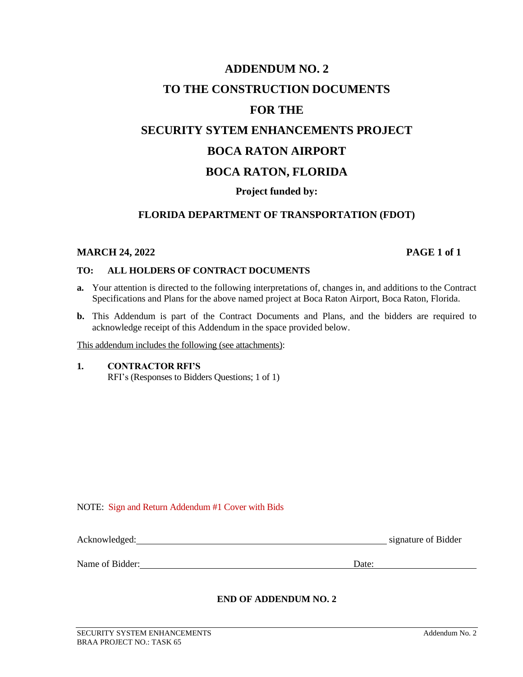# **ADDENDUM NO. 2 TO THE CONSTRUCTION DOCUMENTS FOR THE SECURITY SYTEM ENHANCEMENTS PROJECT BOCA RATON AIRPORT BOCA RATON, FLORIDA Project funded by:**

# **FLORIDA DEPARTMENT OF TRANSPORTATION (FDOT)**

### **MARCH 24, 2022 PAGE 1 of 1**

#### **TO: ALL HOLDERS OF CONTRACT DOCUMENTS**

- **a.** Your attention is directed to the following interpretations of, changes in, and additions to the Contract Specifications and Plans for the above named project at Boca Raton Airport, Boca Raton, Florida.
- **b.** This Addendum is part of the Contract Documents and Plans, and the bidders are required to acknowledge receipt of this Addendum in the space provided below.

This addendum includes the following (see attachments):

**1. CONTRACTOR RFI'S** RFI's (Responses to Bidders Questions; 1 of 1)

NOTE: Sign and Return Addendum #1 Cover with Bids

| Acknowledged: | signature of Bidder |
|---------------|---------------------|
|               |                     |
|               |                     |

Name of Bidder: Date: Date:

### **END OF ADDENDUM NO. 2**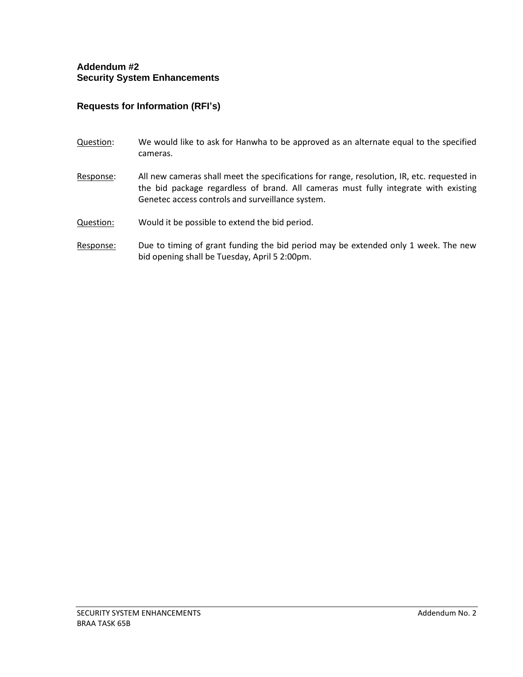# **Addendum #2 Security System Enhancements**

# **Requests for Information (RFI's)**

- Question: We would like to ask for Hanwha to be approved as an alternate equal to the specified cameras.
- Response: All new cameras shall meet the specifications for range, resolution, IR, etc. requested in the bid package regardless of brand. All cameras must fully integrate with existing Genetec access controls and surveillance system.
- Question: Would it be possible to extend the bid period.
- Response: Due to timing of grant funding the bid period may be extended only 1 week. The new bid opening shall be Tuesday, April 5 2:00pm.